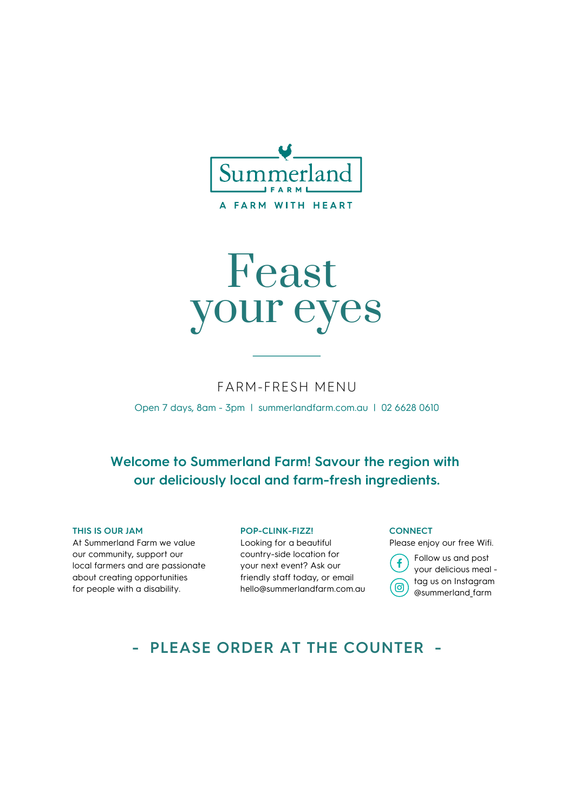

# Feast your eyes

#### FARM-FRESH MENU

Open 7 days, 8am - 3pm | summerlandfarm.com.au | 02 6628 0610

### **Welcome to Summerland Farm! Savour the region with our deliciously local and farm-fresh ingredients.**

#### **THIS IS OUR JAM**

At Summerland Farm we value our community, support our local farmers and are passionate about creating opportunities for people with a disability.

#### **POP-CLINK-FIZZ!**

Looking for a beautiful country-side location for your next event? Ask our friendly staff today, or email hello@summerlandfarm.com.au

#### **CONNECT**

Please enjoy our free Wifi.

Follow us and post f your delicious meal tag us on Instagram ര @summerland\_farm

### **- PLEASE ORDER AT THE COUNTER -**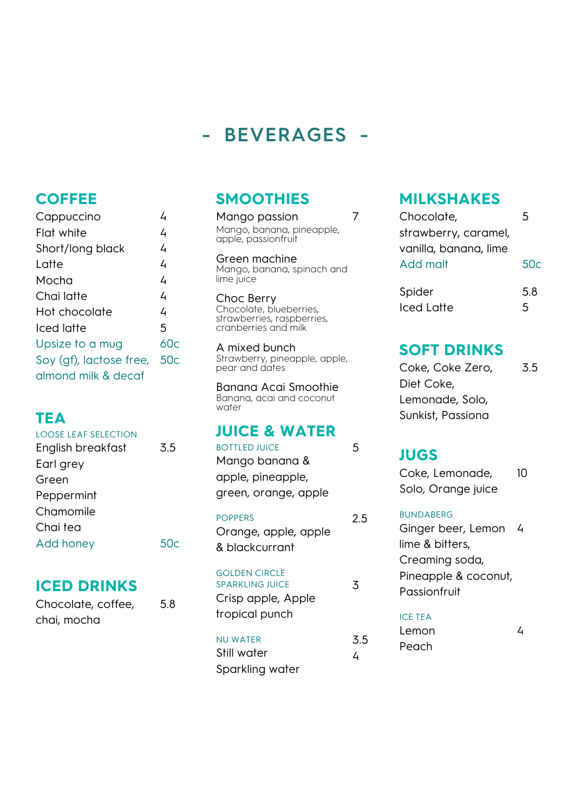# **- BEVERAGES -**

### **COFFEE**

| Cappuccino                  | Δ   |
|-----------------------------|-----|
| Flat white                  | 4   |
| Short/long black            | 4   |
| Latte                       | 4   |
| Mocha                       | 4   |
| Chai latte                  | 4   |
| Hot chocolate               | 4   |
| Iced latte                  | 5   |
| Upsize to a mug             | 60c |
| Soy (gf), lactose free, 50c |     |
| almond milk & decaf         |     |
|                             |     |

### **TEA**

| LOOSE LEAF SELECTION |     |
|----------------------|-----|
| English breakfast    | 3.5 |
| Earl grey            |     |
| Green                |     |
| Peppermint           |     |
| Chamomile            |     |
| Chai tea             |     |
| <b>Add honey</b>     | 50  |
|                      |     |

### **ICED DRINKS**

Chocolate, coffee, chai, mocha 5.8

### **SMOOTHIES**

Mango passion Mango, banana, pineapple, apple, passionfruit

7

5

2.5

3

3.5 4

Green machine Mango, banana, spinach and lime juice

Choc Berry Chocolate, blueberries, strawberries, raspberries, cranberries and milk

A mixed bunch Strawberry, pineapple, apple, pear and dates

Banana Acai Smoothie Banana, acai and coconut water

### **JUICE & WATER**

POPPERS

Orange, apple, apple & blackcurrant

GOLDEN CIRCLE

SPARKLING JUICE Crisp apple, Apple tropical punch

NU WATER Still water Sparkling water **MILKSHAKES**

| Chocolate,            | 5   |
|-----------------------|-----|
| strawberry, caramel,  |     |
| vanilla, banana, lime |     |
| Add malt              | 50c |
|                       | 5.8 |
| Spider                |     |
| Iced Latte            | 5   |

### **SOFT DRINKS**

| Coke, Coke Zero,  | 3.5 |
|-------------------|-----|
| Diet Coke,        |     |
| Lemonade, Solo,   |     |
| Sunkist, Passiona |     |

### **JUGS**

| Coke, Lemonade,    | 10 |
|--------------------|----|
| Solo, Orange juice |    |
| <b>BUNDABERG</b>   |    |
| Ginger beer, Lemon | 4  |

iger beer, Lemoi lime & bitters, Creaming soda, Pineapple & coconut, **Passionfruit** 

#### ICE TEA

| Lemon |  |
|-------|--|
| Peach |  |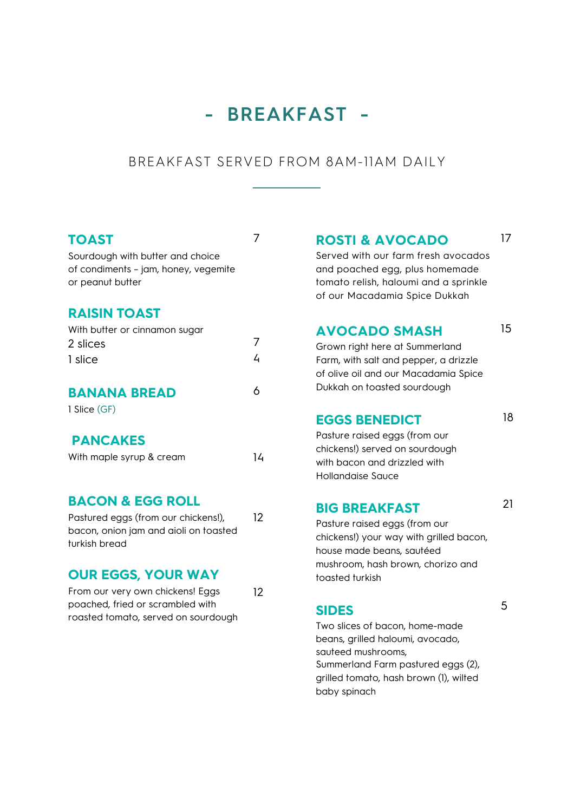# **- BREAKFAST -**

#### BREAKFAST SERVED FROM 8AM-11AM DAILY

7

#### **TOAST**

Sourdough with butter and choice of condiments – jam, honey, vegemite or peanut butter

#### **RAISIN TOAST**

| With butter or cinnamon sugar |   |
|-------------------------------|---|
| 2 slices                      |   |
| 1 slice                       | 4 |
| <b>BANANA BREAD</b>           |   |
| 1 Slice (GF)                  |   |
| <b>PANCAKES</b>               |   |
| With maple syrup & cream      | Δ |

#### **BACON & EGG ROLL**

Pastured eggs (from our chickens!), bacon, onion jam and aioli on toasted turkish bread 12

#### **OUR EGGS, YOUR WAY**

| From our very own chickens! Eggs    | $12 \overline{ }$ |
|-------------------------------------|-------------------|
| poached, fried or scrambled with    |                   |
| roasted tomato, served on sourdough |                   |

**ROSTI & AVOCADO** 17

Served with our farm fresh avocados and poached egg, plus homemade tomato relish, haloumi and a sprinkle of our Macadamia Spice Dukkah

#### **AVOCADO SMASH**

Grown right here at Summerland Farm, with salt and pepper, a drizzle of olive oil and our Macadamia Spice Dukkah on toasted sourdough

#### **EGGS BENEDICT**

18

21

15

Pasture raised eggs (from our chickens!) served on sourdough with bacon and drizzled with Hollandaise Sauce

#### **BIG BREAKFAST**

Pasture raised eggs (from our chickens!) your way with grilled bacon, house made beans, sautéed mushroom, hash brown, chorizo and toasted turkish

#### **SIDES**

Two slices of bacon, home-made beans, grilled haloumi, avocado, sauteed mushrooms, Summerland Farm pastured eggs (2), grilled tomato, hash brown (1), wilted baby spinach

5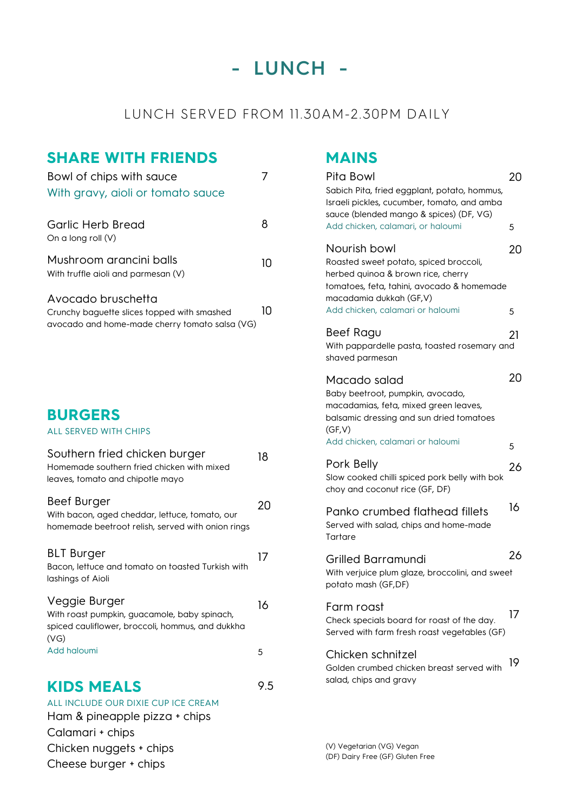# **- LUNCH -**

### LUNCH SERVED FROM 11.30AM-2.30PM DAILY

### **SHARE WITH FRIENDS**

| Bowl of chips with sauce<br>With gravy, aioli or tomato sauce                                                       | 7   |
|---------------------------------------------------------------------------------------------------------------------|-----|
| <b>Garlic Herb Bread</b><br>On a long roll (V)                                                                      | 8   |
| Mushroom arancini balls<br>With truffle aioli and parmesan (V)                                                      | 10  |
| Avocado bruschetta<br>Crunchy baguette slices topped with smashed<br>avocado and home-made cherry tomato salsa (VG) | 10  |
|                                                                                                                     |     |
| <b>BURGERS</b><br><b>ALL SERVED WITH CHIPS</b>                                                                      |     |
| Southern fried chicken burger<br>Homemade southern fried chicken with mixed<br>leaves, tomato and chipotle mayo     | 18  |
| Beef Burger<br>With bacon, aged cheddar, lettuce, tomato, our<br>homemade beetroot relish, served with onion rings  | 20  |
| <b>BLT Burger</b><br>Bacon, lettuce and tomato on toasted Turkish with<br>lashings of Aioli                         | 17  |
| Veggie Burger<br>With roast pumpkin, guacamole, baby spinach,<br>spiced cauliflower, broccoli, hommus, and dukkha   | 16  |
| (VG)<br>Add haloumi                                                                                                 | 5   |
| <b>KIDS MEALS</b><br>ALL INCLUDE OUR DIXIE CUP ICE CREAM<br>Ham & pineapple pizza + chips                           | 9.5 |

Calamari + chips

Chicken nuggets + chips Cheese burger + chips

**MAINS**

| Pita Bowl<br>Sabich Pita, fried eggplant, potato, hommus,<br>Israeli pickles, cucumber, tomato, and amba<br>sauce (blended mango & spices) (DF, VG)                                                        | 20      |
|------------------------------------------------------------------------------------------------------------------------------------------------------------------------------------------------------------|---------|
| Add chicken, calamari, or haloumi<br>Nourish bowl<br>Roasted sweet potato, spiced broccoli,<br>herbed quinoa & brown rice, cherry<br>tomatoes, feta, tahini, avocado & homemade<br>macadamia dukkah (GF,V) | 5<br>20 |
| Add chicken, calamari or haloumi                                                                                                                                                                           | 5       |
| Beef Ragu<br>With pappardelle pasta, toasted rosemary and<br>shaved parmesan                                                                                                                               | 21      |
| Macado salad<br>Baby beetroot, pumpkin, avocado,<br>macadamias, feta, mixed green leaves,<br>balsamic dressing and sun dried tomatoes<br>(GF, V)                                                           | 20      |
| Add chicken, calamari or haloumi                                                                                                                                                                           | 5       |
| Pork Belly<br>Slow cooked chilli spiced pork belly with bok<br>choy and coconut rice (GF, DF)                                                                                                              | 26      |
| Panko crumbed flathead fillets<br>Served with salad, chips and home-made<br>Tartare                                                                                                                        | 16      |
| Grilled Barramundi<br>With verjuice plum glaze, broccolini, and sweet<br>potato mash (GF,DF)                                                                                                               | 26      |
| Farm roast<br>Check specials board for roast of the day.<br>Served with farm fresh roast vegetables (GF)                                                                                                   | 17      |
| Chicken schnitzel<br>Golden crumbed chicken breast served with<br>salad, chips and gravy                                                                                                                   | 19      |

(V) Vegetarian (VG) Vegan (DF) Dairy Free (GF) Gluten Free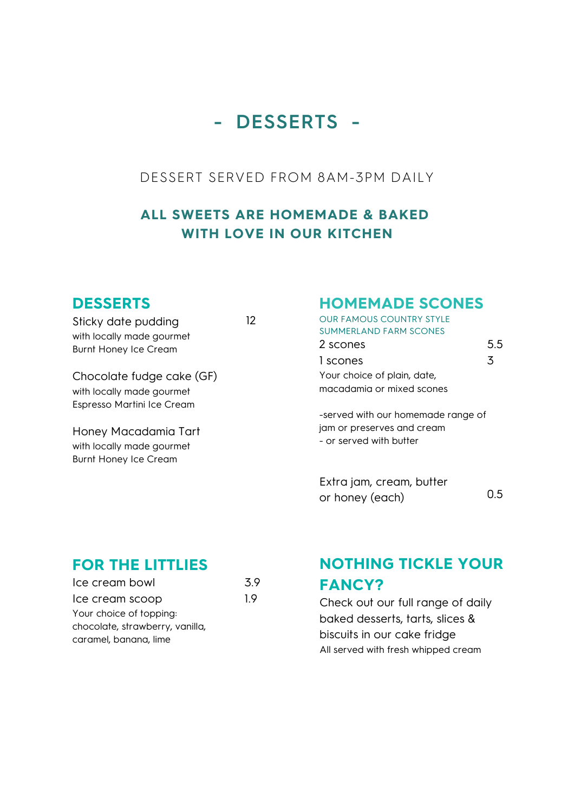# **- DESSERTS -**

### DESSERT SERVED FROM 8AM-3PM DAILY

### **ALL SWEETS ARE HOMEMADE & BAKED WITH LOVE IN OUR KITCHEN**

12

### **DESSERTS**

Sticky date pudding with locally made gourmet Burnt Honey Ice Cream

Chocolate fudge cake (GF) with locally made gourmet Espresso Martini Ice Cream

Honey Macadamia Tart with locally made gourmet Burnt Honey Ice Cream

### **HOMEMADE SCONES**

| <b>OUR FAMOUS COUNTRY STYLE</b> |     |
|---------------------------------|-----|
| <b>SUMMERLAND FARM SCONES</b>   |     |
| 2 scones                        | 5.5 |
| 1 scones                        | 3   |
| Your choice of plain, date,     |     |
| macadamia or mixed scones       |     |
|                                 |     |

-served with our homemade range of jam or preserves and cream - or served with butter

Extra jam, cream, butter or honey (each) 0.5

### **FOR THE LITTLIES**

| Ice cream bowl                  | 39 |
|---------------------------------|----|
| Ice cream scoop                 | 19 |
| Your choice of topping:         |    |
| chocolate, strawberry, vanilla, |    |
| caramel, banana, lime           |    |

## **NOTHING TICKLE YOUR FANCY?**

Check out our full range of daily baked desserts, tarts, slices & biscuits in our cake fridge All served with fresh whipped cream